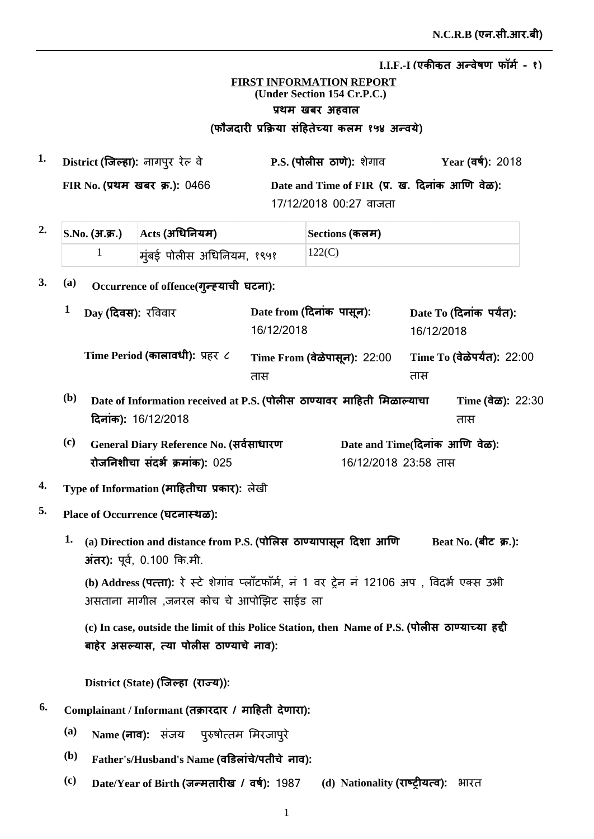## **FIRST INFORMATION REPORT (Under Section 154 Cr.P.C.)** प्रथम खबर अहवाल (फौजदारी प्रक्रिया सहितेच्या कलम १५४ अन्वर्य)

| 1. | District (जिल्हा): नागपुर रेल् वे     | P.S. (पोलीस ठाणे): शेगाव                       | Year (वर्ष): 2018 |
|----|---------------------------------------|------------------------------------------------|-------------------|
|    | <b>FIR No. (प्रथम खबर क्र.): 0466</b> | Date and Time of FIR (प्र. ख. दिनांक आणि वेळ): |                   |
|    |                                       | 17/12/2018 00:27 वाजता                         |                   |

| z. | $ $ S.No. (अ.क्र.) $ $ $ \text{Acts}$ (अधिनियम) | Sections (कलम) |
|----|-------------------------------------------------|----------------|
|    | मूंबई पोलीस अधिनियम, १९५१                       | 122(C)         |

## 3. (a) Occurrence of offence(गुन्ह्याची घटना):

|              | Day (दिवस): रविवार                                                        | Date from (दिनांक पासून):<br>16/12/2018 |                                                        | 16/12/2018 | Date To (दिनांक पर्यंत):             |
|--------------|---------------------------------------------------------------------------|-----------------------------------------|--------------------------------------------------------|------------|--------------------------------------|
|              | Time Period (कालावधी): प्रहर ८                                            | Time From (वेळेपासून): 22:00<br>तास     |                                                        | तास        | Time To (वेळेपर्यंत): 22:00          |
| ( <b>b</b> ) | Date of Information received at P.S. (पोलीस ठाण्यावर माहिती मिळाल्याचा    |                                         |                                                        |            | Time $(\vec{a}\vec{\omega})$ : 22:30 |
|              | दिनांक): 16/12/2018                                                       |                                         |                                                        |            | तास                                  |
| (c)          | General Diary Reference No. (सर्वसाधारण<br>रोजनिशीचा संदर्भ क्रमांक): 025 |                                         | Date and Time(दिनांक आणि वेळ):<br>16/12/2018 23:58 तास |            |                                      |

## **<sup>4.</sup> Type of Information (माहितीचा प्रकार):** लेखी

- **5. Place of Occurrence ȡè**
	- Beat No. (बीट) क्र.):  $1.$  (a) Direction and distance from P.S. (पोलिस) ठाण्यापासून दिशा आणि  $\overline{3}$  **(xi):** पूर्व, 0.100 कि.मी.

(b) Address **(पत्ता):** रे स्टे शेगाव प्लॉटफॉर्म, न 1 वर ट्रेन न 12106 अप , विदर्भ एक्स उभी असताना मागील ,जनरल कोच चे आपोझिट साईड ला

(c) In case, outside the limit of this Police Station, then Name of P.S. (पोलीस ठाण्याच्या हद्दी बाहेर असल्यास, त्या पोलीस ठाण्याचे नाव):

 $\textbf{District (State) (}$ जिल्हा (राज्य)):

- $^{6.}$  Complainant / Informant (तक्रारदार / माहिती देणारा):
	- <sup>(a)</sup> Name (नाव): संजय पुरुषोत्तम मिरजापुरे
	- $^{\rm (b)}$  Father's/Husband's Name (वडिलांचे/पतीचे नाव):
	- $^{\rm (c)}$  **Date/Year of Birth (जन्मतारीख / वर्ष): 1987 (d) Nationality (<b>राष्ट्रीयत्व):** भारत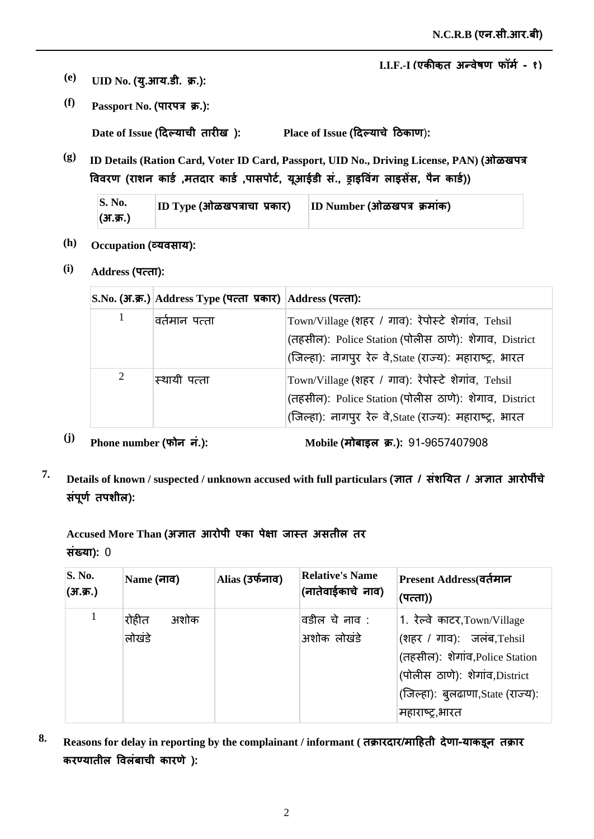- $\bf (e)$  **UID No. (यु.आय.डी. क्र.):**
- *(f)* **Passport No. (पारपत्र क्र.):**

 $\mathbf{Place} \text{ of } \mathbf{I} \text{ s}$ sue (दिल्याचे ठिकाण):  $\bf{Date \ of \ Issue}$  (दिल्याची तारीख ):

**(g) ID Details (Ration Card, Voter ID Card, Passport, UID No., Driving License, PAN) jğ** विवरण (राशन कार्ड ,मतदार कार्ड ,पासपोर्ट, यूआईडी स., ड्राइविंग लाइसेस, पैन कार्ड))

| $\mathbf{S. No.}$ | $ ID\;Type\;$ (ओळखपत्राचा प्रकार) | $ ID$ Number (ओळखपत्र क्रमांक) |
|-------------------|-----------------------------------|--------------------------------|
| (अ.क्र.)          |                                   |                                |

- (h) **Occupation (व्यवसाय):**
- **(i) Address ×ȡ**

|   | S.No. (अ.क्र.) Address Type (पत्ता प्रकार) Address (पत्ता): |                                                                                                                                                                          |
|---|-------------------------------------------------------------|--------------------------------------------------------------------------------------------------------------------------------------------------------------------------|
| 1 | वर्तमान पत्ता                                               | Town/Village (शहर / गाव): रेपोर्स्टे शेगांव, Tehsil<br>(तहसील): Police Station (पोलीस ठाणे): शेगाव, District<br>(जिल्हा): नागपुर रेल वे, State (राज्य): महाराष्ट्र, भारत |
| 2 | स्थायी पत्ता                                                | Town/Village (शहर / गाव): रेपोर्स्टे शेगांव, Tehsil<br>(तहसील): Police Station (पोलीस ठाणे): शेगाव, District<br>(जिल्हा): नागपुर रेल वे, State (राज्य): महाराष्ट्र, भारत |

<sup>(j)</sup> Phone number (फोन नं.): Mobile (

Mobile (मोबाइल क्र.): 91-9657407908

*T.* Details of known / suspected / unknown accused with full particulars (ज्ञात / संशयित / अज्ञात आरोपींचे संपूर्ण तपशील):

Accused More Than (अज्ञात आरोपी एका पेक्षा जास्त असतील तर **संख्या): 0** 

| <b>S. No.</b><br>(3.5) | Name (नाव)              | Alias (उर्फनाव) | <b>Relative's Name</b><br>(नातेवाईकाचे नाव) | Present Address(वर्तमान<br>(पत्ता))                                                                                                                                                  |
|------------------------|-------------------------|-----------------|---------------------------------------------|--------------------------------------------------------------------------------------------------------------------------------------------------------------------------------------|
|                        | रोहीत<br>अशोक<br>लोखंडे |                 | वडील चे नाव :<br>अशोक लोखंडे                | 1. रेल्वे काटर,Town/Village<br>(शहर / गाव): जलंब,Tehsil<br>(तहसील): शेगांव, Police Station<br>(पोलीस ठाणे): शेगांव, District<br>(जिल्हा): बुलढाणा, State (राज्य):<br>महाराष्ट्र,भारत |

8. Reasons for delay in reporting by the complainant / informant ( तक्रारदार/माहिती देणा-याकडून तक्रार करण्यातील विलंबाची कारणे ):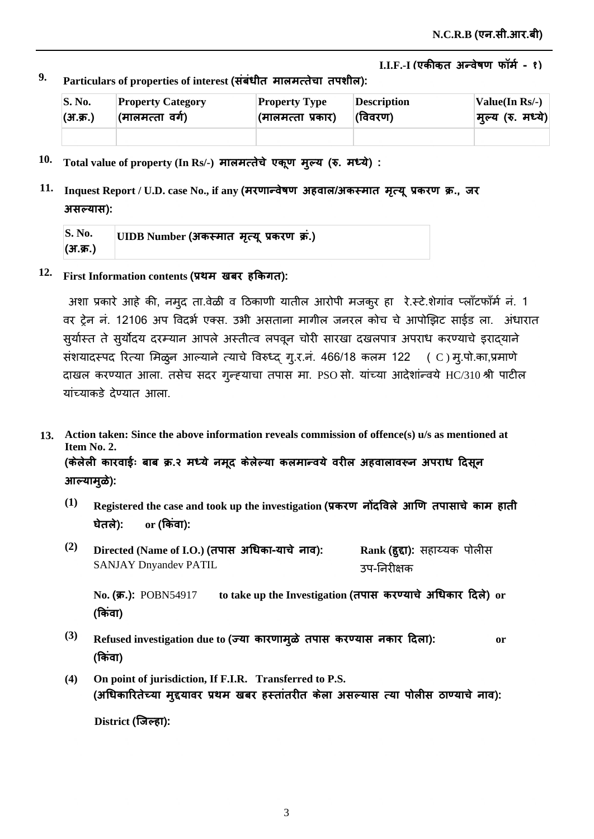$^9$ · Particulars of properties of interest (संबंधीत मालमत्तेचा तपशील):

| $\mathbf{S}$ . No. | <b>Property Category</b> | <b>Property Type</b> | Description | Value(In Rs/-)    |
|--------------------|--------------------------|----------------------|-------------|-------------------|
| (अ.क्र.)           | (मालमत्ता वर्ग)          | (मालमत्ता प्रकार)    | (विवरण)     | मुल्य (रु. मध्ये) |
|                    |                          |                      |             |                   |

- $10$ . Total value of property (In Rs/-) मालमत्तेचे एकूण मुल्य (रु. मध्ये) :
- $11.$  Inquest Report / U.D. case No., if any (मरणान्वेषण अहवाल/अकस्मात मृत्यू प्रकरण क्र., जर  $3$  सल्यास):

| <b>S. No.</b> | UIDB Number (अकस्मात मृत्यू प्रकरण क्र.) |
|---------------|------------------------------------------|
| (अ.क्र.)      |                                          |

 $12$ . First Information contents (प्रथम) खबर हकिगत):

अशा प्रकारे आहे की, नमूद ता.वेळी व ठिकाणी यातील आरोपी मजकुर हा रे.स्टे.शेगांव प्लॉंटफॉर्म नं. 1 वर ट्रेन नं. 12106 अप विदर्भ एक्स. उभी असताना मागील जनरल कोच चे आपोझिट साईड ला. अंधारात सूर्यास्त ते सूर्योदय दरम्यान आपले अस्तीत्व लपवून चोरी सारखा दखलपात्र अपराध करण्याचे इरादयाने सशयादस्पद रित्या मिळुन आल्याने त्याचे विरुध्द् गु.र.न. 466/18 कलम 122 ( C )मु.पो.का,प्रमाणे दाखल करण्यात आला. तसेच सदर गुन्ह्याचा तपास मा. PSO सो. यांच्या आदेशांन्वये HC/310 श्री पाटील यांच्याकडे देण्यात आला.

- **Action taken: Since the above information reveals commission of offence(s) u/s as mentioned at 13. Item No. 2.** (केलेली कारवाईः बाब क्र.२ मध्ये नमूद केलेल्या कलमान्वये वरील अहवालावरून अपराध दिसून आल्यामुळे):
	- $^{(1)}$   $\;$  Registered the case and took up the investigation (प्रकरण *नोंदविले आणि तपासाचे काम हाती* **घेतले):** <u>or (किंवा):</u>
	- **(2)**  $\bm{\mathrm{Directed}}$  (Name of I.O.) (तपास अधिका-याचे नाव): SANJAY Dnyandev PATIL  $\mathbf{Rank}\left(\mathbf{\bar{g}\bar{g}\bar{f}}\right):$  सहाय्यक पोलीस उप-निरीक्षक

No**. (क्र.)**: POBN54917 to take up the Investigation (तपास करण्याचे अधिकार दिले) or (किवा)

- **(3)** Refused investigation due to (ज्या कारणामुळे तपास करण्यास नकार दिला): or (किवा)
- **(4) On point of jurisdiction, If F.I.R. Transferred to P.S.** (अधिकारितेच्या मुद्दयावर प्रथम खबर हस्तातरीत केला असल्यास त्या पोलीस ठाण्याचे नाव):

<u>District (जिल्हा):</u>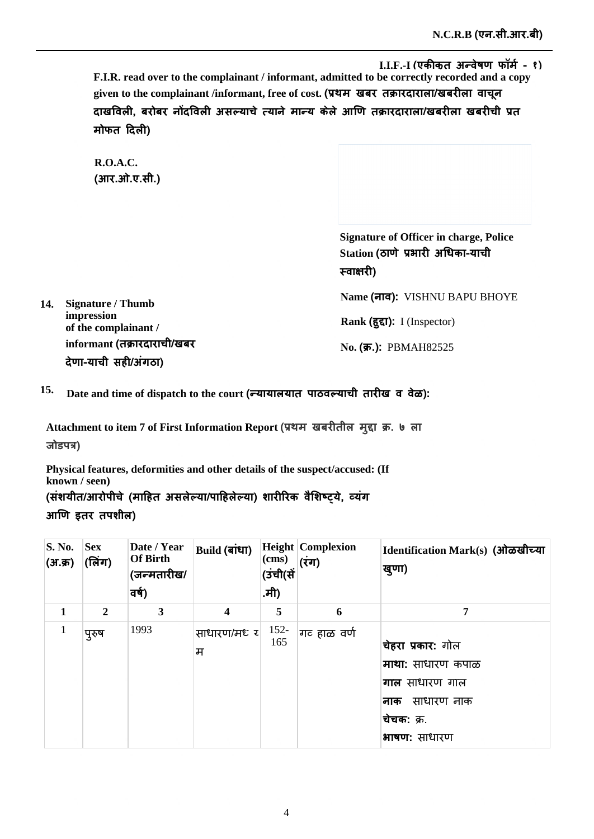**F.I.R. read over to the complainant / informant, admitted to be correctly recorded and a copy**  given to the complainant /informant, free of cost. (प्रथम) खबर) तक्रारदाराला/खबरीला) वाचून दाखविली, बरोबर नोंदविली असल्याचे त्याने मान्य केले आणि तक्रारदाराला/खबरीला खबरीची प्रत **मोफत दिली)** 

**R.O.A.C.**  (आर.ओ.ए.सी.)

> **Signature of Officer in charge, Police**  Station (ठाणे प्रभारी अधिका-याची **स्वाक्षारी**)

**14. Signature / Thumb impression of the complainant /**  informant (तक्रारदाराची/खबर देणा-याची सही/अंगठा)

 $\boldsymbol{\mathsf{Name}}$  (नाव):  $\boldsymbol{\mathsf{VISHNU}}$  BAPU BHOYE

Rank (हुद्दा): I (Inspector)

 $N$ **o. (क्र.):** PBMAH82525

 $^{15.}$  Date and time of dispatch to the court (न्यायालयात पाठवल्याची तारीख व वेळ):

Attachment to item 7 of First Information Report (प्रथम) खबरीतील मुद्दा क्र. ७ ला **Ȫğ**

**Physical features, deformities and other details of the suspect/accused: (If known / seen)** (संशयीत/आरोपीचे (माहित असलेल्या/पाहिलेल्या) शारीरिक वैशिष्ट्ये, व्यंग आणि इतर तपशील)

| <b>S. No.</b><br>(अ.क्र) | <b>Sex</b><br>(लिंग) | Date / Year<br><b>Of Birth</b><br>(जन्मतारीख/<br>वर्ष) | <b>Build (बांधा)</b>    | $\mathbf{(cms)}$<br>(उंची(सें<br>.मी) | <b>Height Complexion</b><br>(रंग) | Identification Mark(s) (ओळखीच्या<br>खुणा)                                                                   |
|--------------------------|----------------------|--------------------------------------------------------|-------------------------|---------------------------------------|-----------------------------------|-------------------------------------------------------------------------------------------------------------|
| 1                        | $\overline{2}$       | 3                                                      | $\overline{\mathbf{4}}$ | 5                                     | 6                                 | 7                                                                                                           |
| $\mathbf{1}$             | पुरुष                | 1993                                                   | ∣साधारण/मध र <br>म      | $152 -$<br>165                        | गट हाळ वर्ण                       | चेहरा प्रकार: गोल<br>माथा: साधारण कपाळ<br>गाल साधारण गाल<br>साधारण नाक<br>नाक<br>चेचक: क्र.<br>भाषण: साधारण |